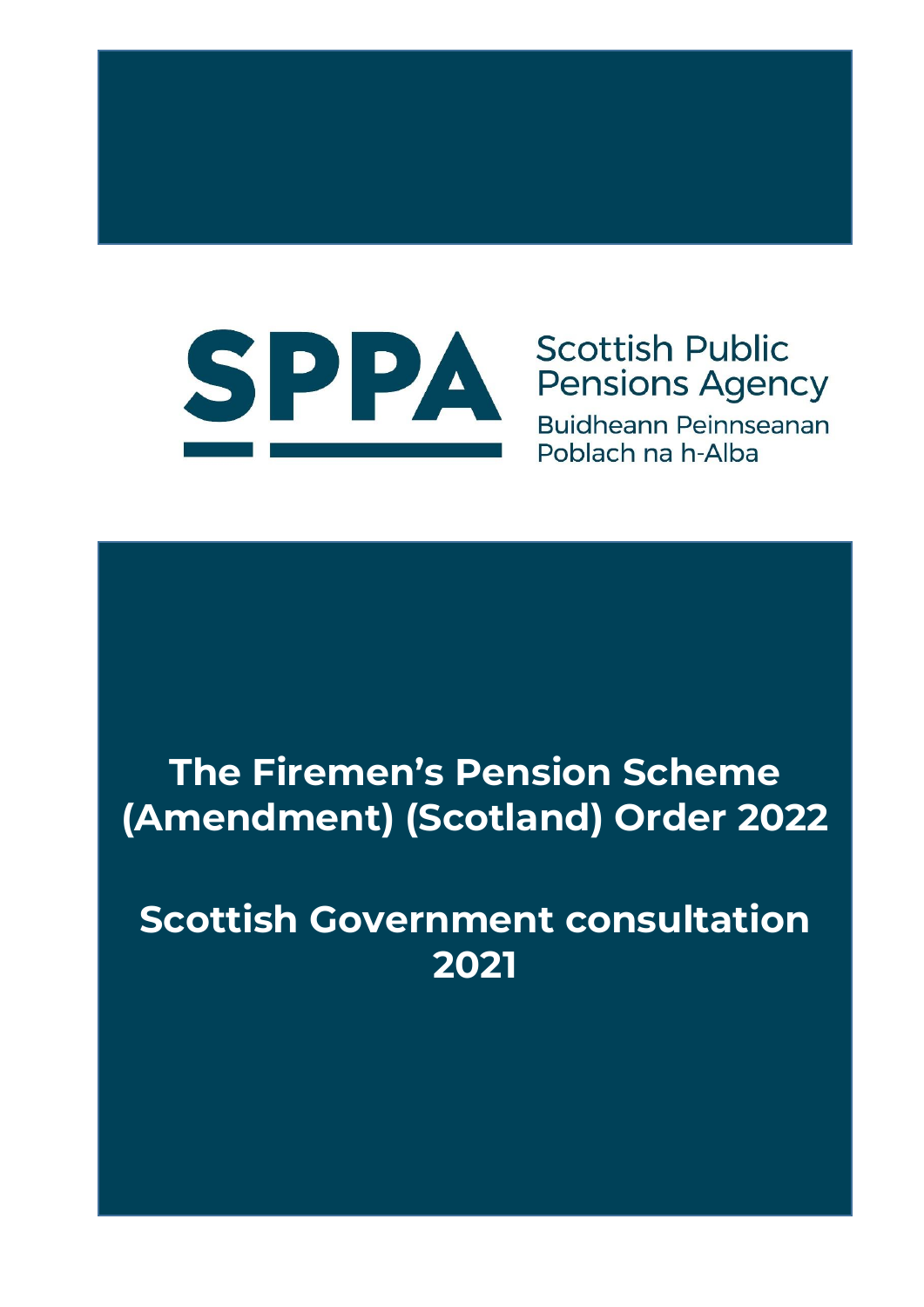

# **Scottish Public Pensions Agency**

**Buidheann Peinnseanan** Poblach na h-Alba

# **The Firemen's Pension Scheme (Amendment) (Scotland) Order 2022**

# **Scottish Government consultation 2021**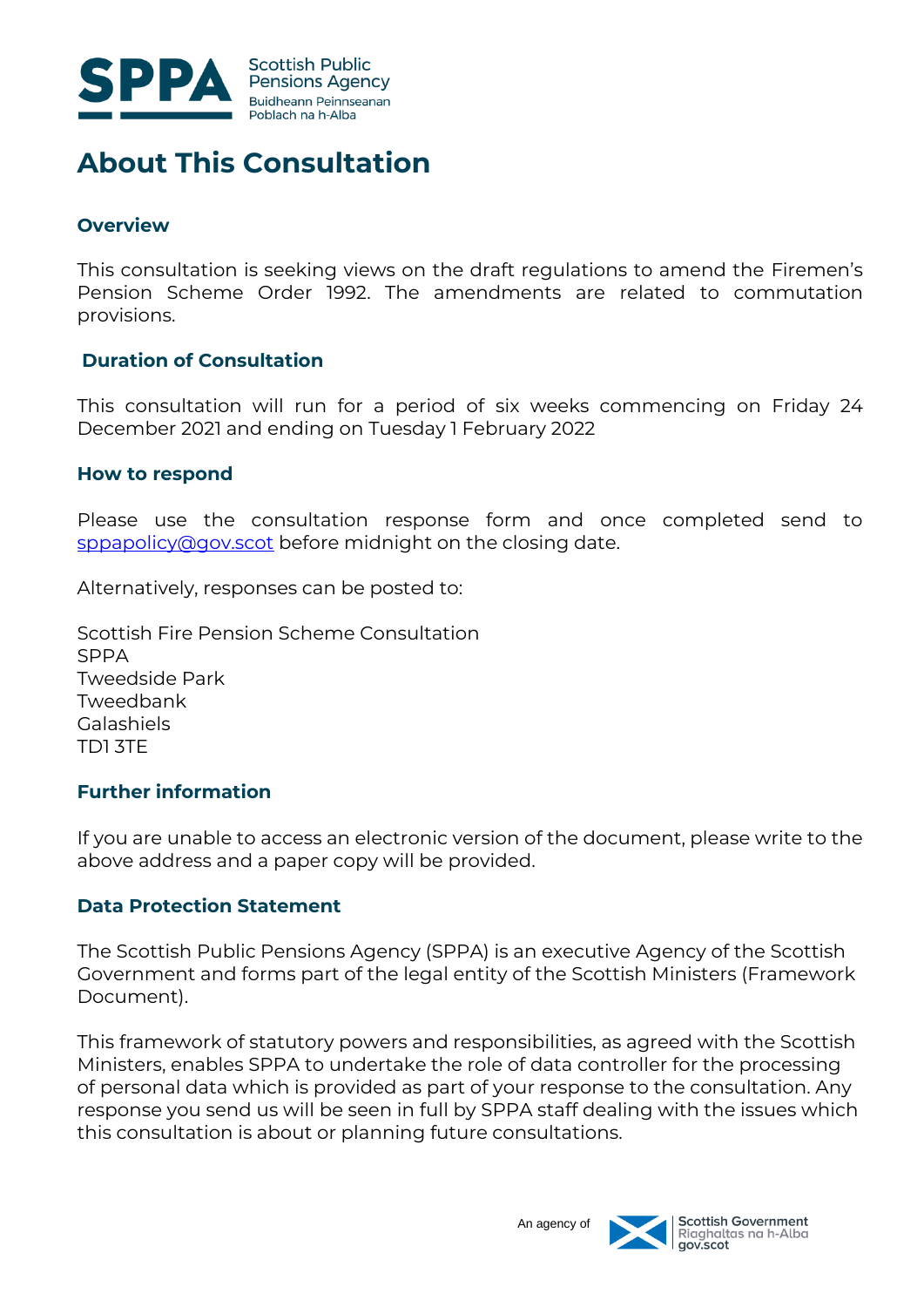

## **About This Consultation**

#### **Overview**

This consultation is seeking views on the draft regulations to amend the Firemen's Pension Scheme Order 1992. The amendments are related to commutation provisions.

#### **Duration of Consultation**

This consultation will run for a period of six weeks commencing on Friday 24 December 2021 and ending on Tuesday 1 February 2022

#### **How to respond**

Please use the consultation response form and once completed send to [sppapolicy@gov.scot](mailto:sppapolicy@gov.scot) before midnight on the closing date.

Alternatively, responses can be posted to:

Scottish Fire Pension Scheme Consultation SPPA Tweedside Park Tweedbank Galashiels TD1 3TE

#### **Further information**

If you are unable to access an electronic version of the document, please write to the above address and a paper copy will be provided.

#### **Data Protection Statement**

The Scottish Public Pensions Agency (SPPA) is an executive Agency of the Scottish Government and forms part of the legal entity of the Scottish Ministers (Framework Document).

This framework of statutory powers and responsibilities, as agreed with the Scottish Ministers, enables SPPA to undertake the role of data controller for the processing of personal data which is provided as part of your response to the consultation. Any response you send us will be seen in full by SPPA staff dealing with the issues which this consultation is about or planning future consultations.

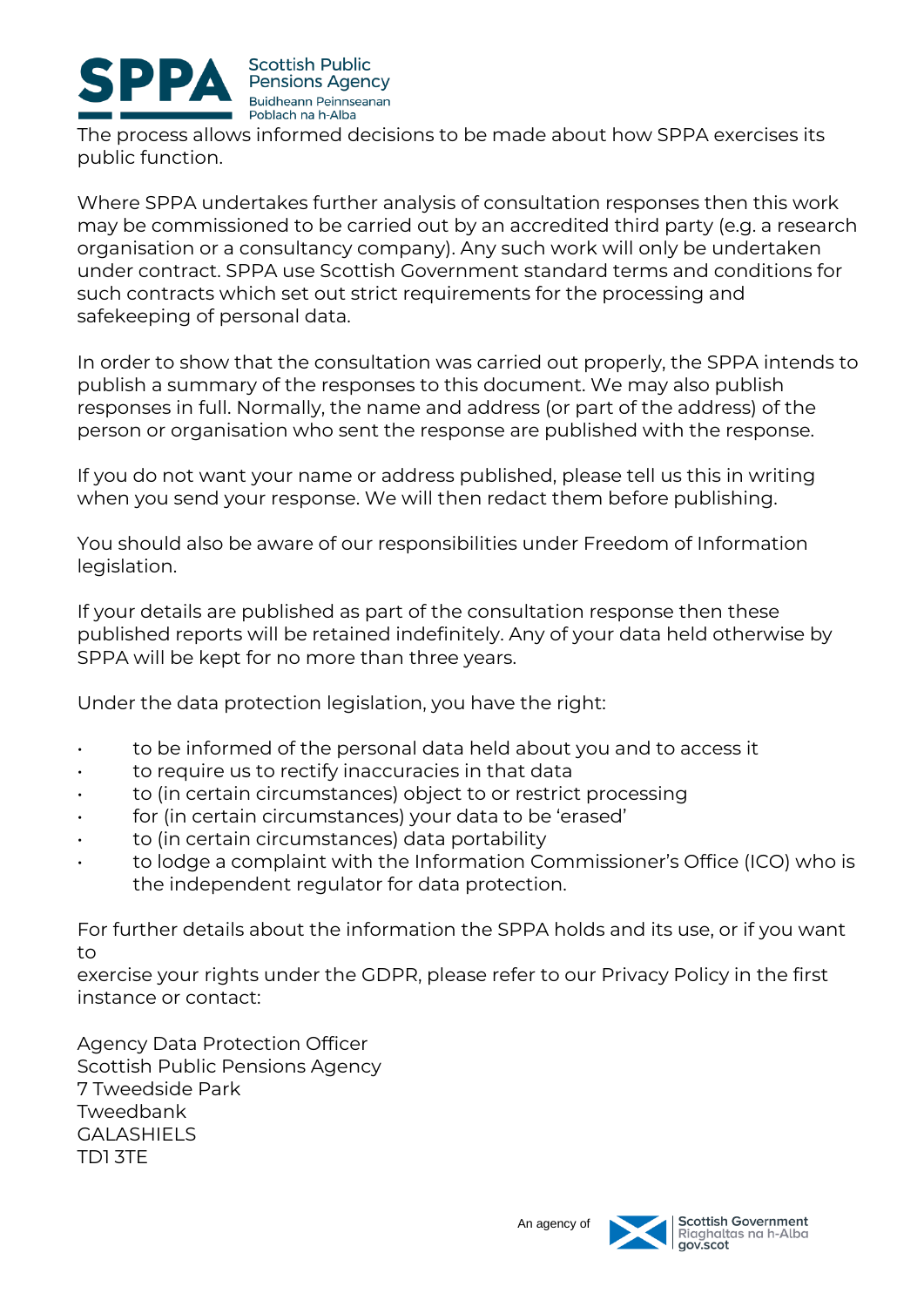

The process allows informed decisions to be made about how SPPA exercises its public function.

Where SPPA undertakes further analysis of consultation responses then this work may be commissioned to be carried out by an accredited third party (e.g. a research organisation or a consultancy company). Any such work will only be undertaken under contract. SPPA use Scottish Government standard terms and conditions for such contracts which set out strict requirements for the processing and safekeeping of personal data.

In order to show that the consultation was carried out properly, the SPPA intends to publish a summary of the responses to this document. We may also publish responses in full. Normally, the name and address (or part of the address) of the person or organisation who sent the response are published with the response.

If you do not want your name or address published, please tell us this in writing when you send your response. We will then redact them before publishing.

You should also be aware of our responsibilities under Freedom of Information legislation.

If your details are published as part of the consultation response then these published reports will be retained indefinitely. Any of your data held otherwise by SPPA will be kept for no more than three years.

Under the data protection legislation, you have the right:

- to be informed of the personal data held about you and to access it
- to require us to rectify inaccuracies in that data
- to (in certain circumstances) object to or restrict processing
- for (in certain circumstances) your data to be 'erased'
- to (in certain circumstances) data portability
- to lodge a complaint with the Information Commissioner's Office (ICO) who is the independent regulator for data protection.

For further details about the information the SPPA holds and its use, or if you want to

exercise your rights under the GDPR, please refer to our Privacy Policy in the first instance or contact:

Agency Data Protection Officer Scottish Public Pensions Agency 7 Tweedside Park Tweedbank GALASHIELS TD1 3TE

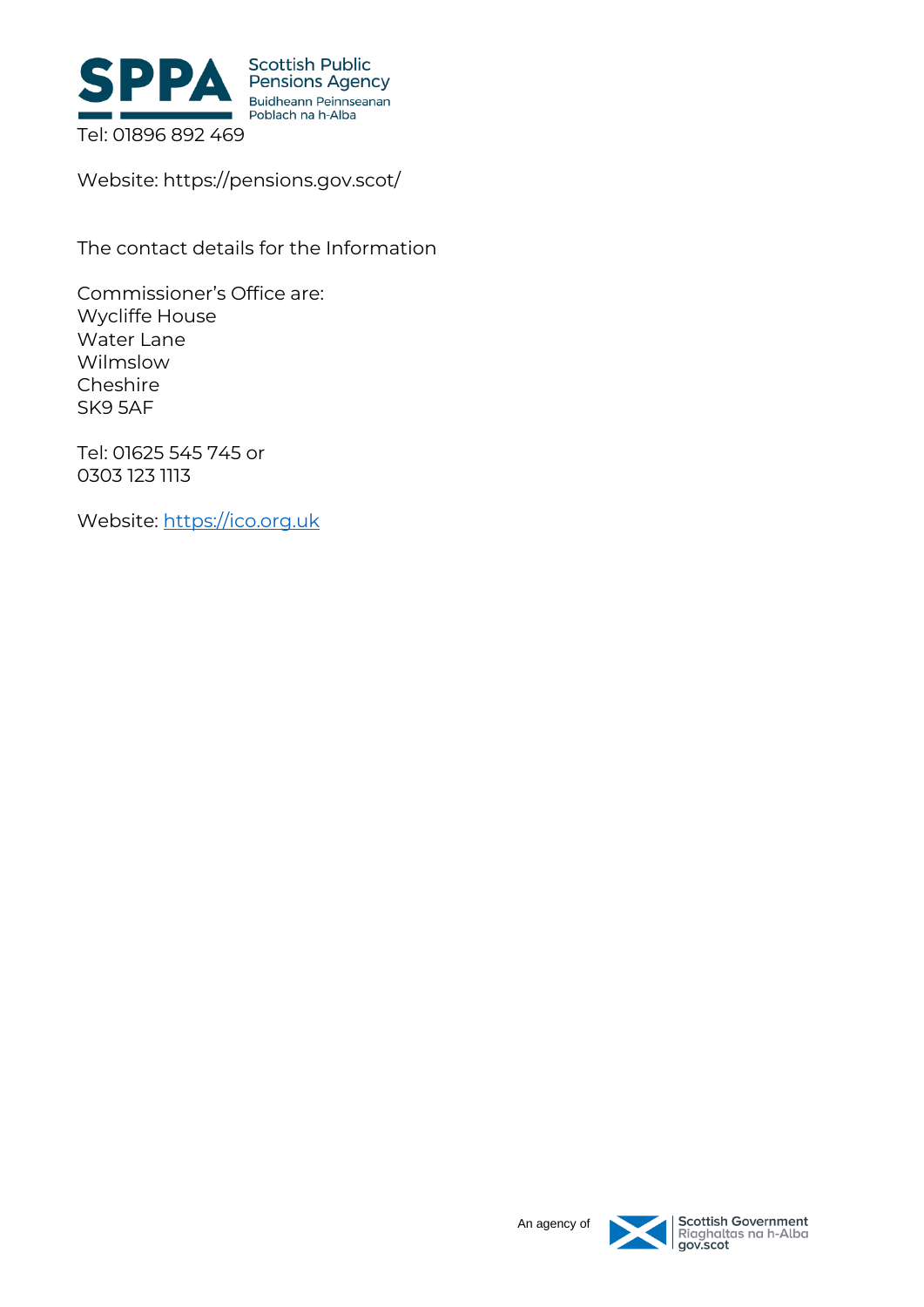

Website: https://pensions.gov.scot/

The contact details for the Information

Commissioner's Office are: Wycliffe House Water Lane Wilmslow Cheshire SK9 5AF

Tel: 01625 545 745 or 0303 123 1113

Website: [https://ico.org.uk](https://ico.org.uk/)



| Scottish Government<br>| Riaghaltas na h-Alba<br>| gov.scot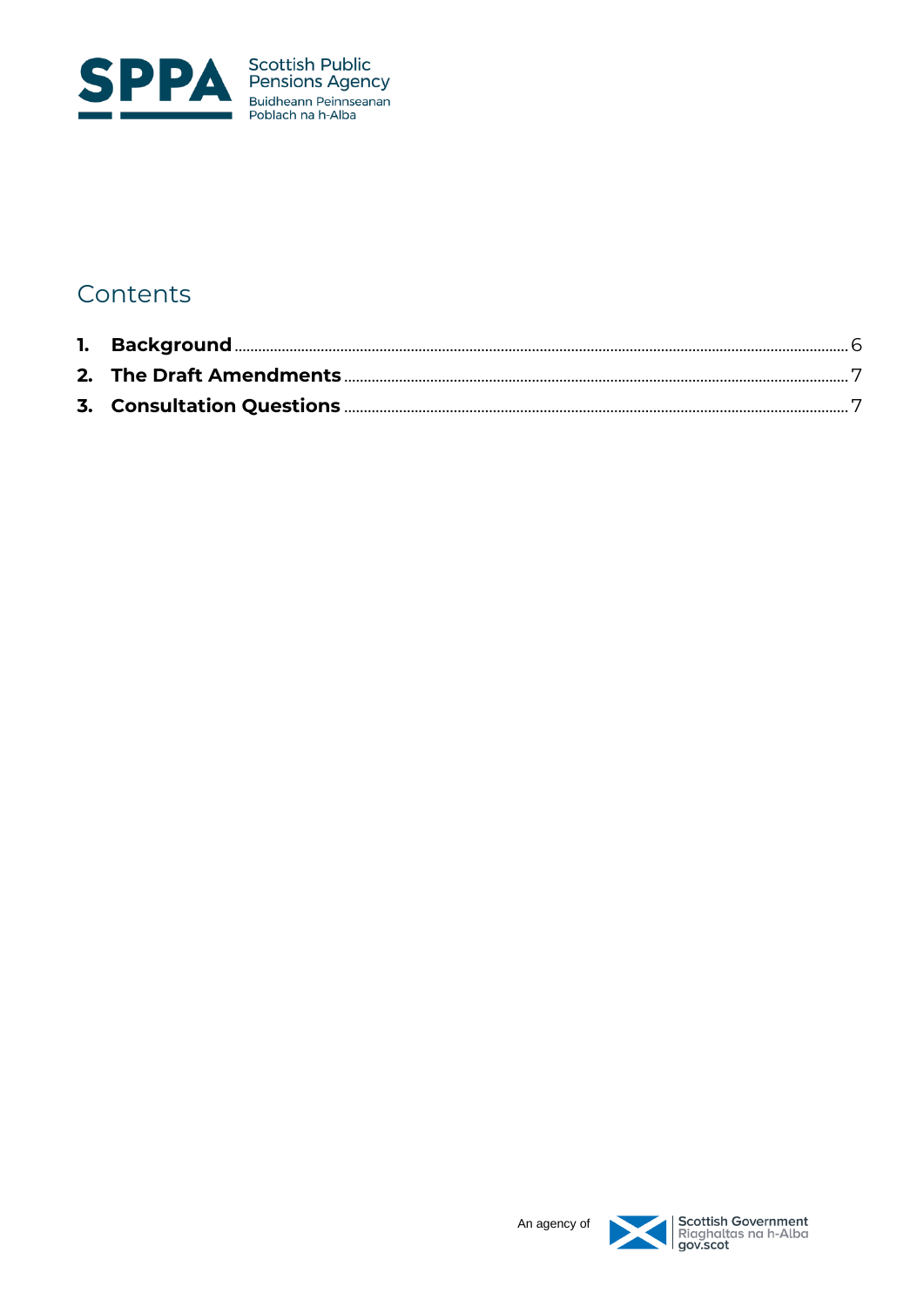

## Contents

<span id="page-4-0"></span>

Scottish Government<br>Riaghaltas na h-Alba<br>gov.scot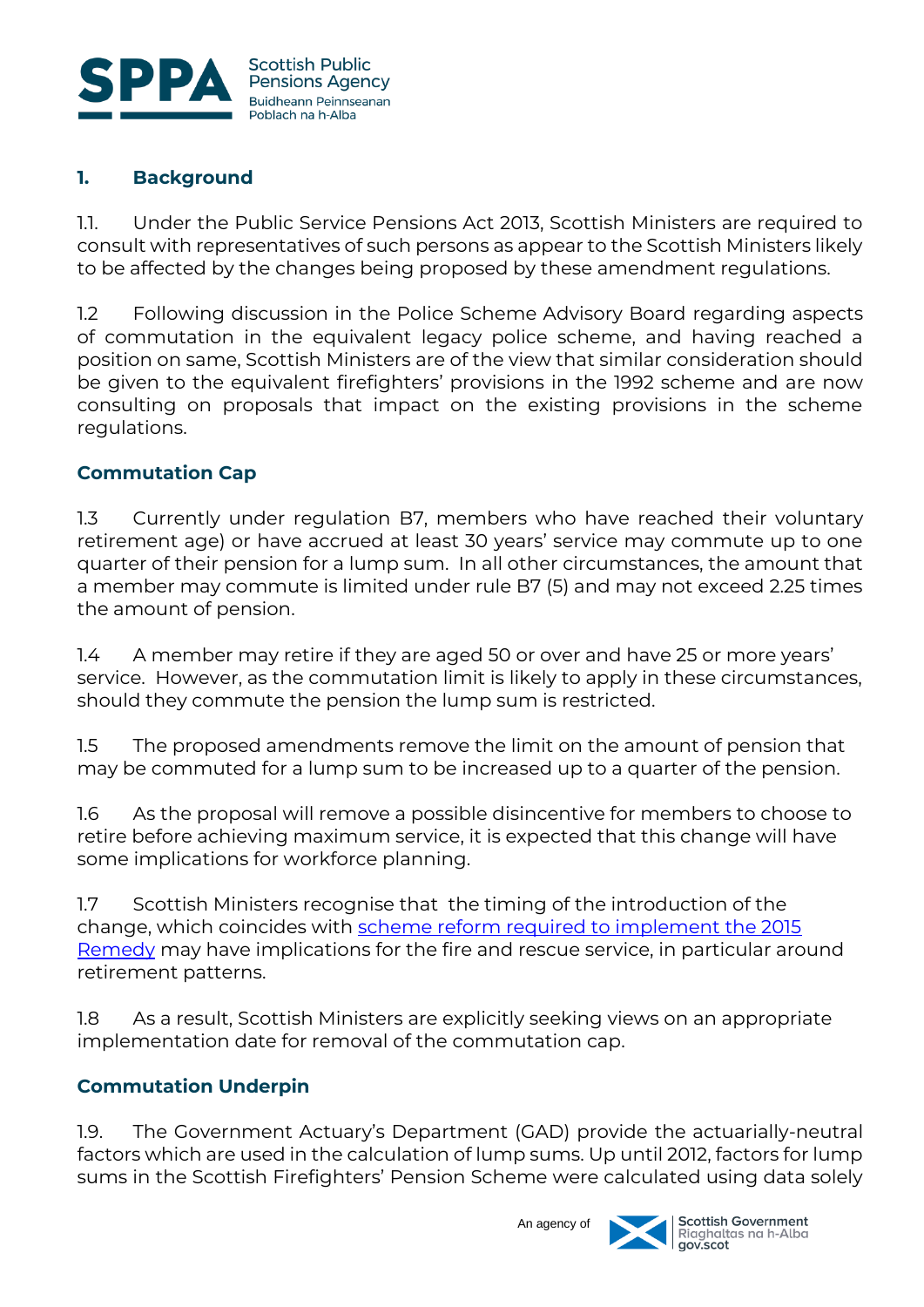

### **1. Background**

1.1. Under the Public Service Pensions Act 2013, Scottish Ministers are required to consult with representatives of such persons as appear to the Scottish Ministers likely to be affected by the changes being proposed by these amendment regulations.

1.2 Following discussion in the Police Scheme Advisory Board regarding aspects of commutation in the equivalent legacy police scheme, and having reached a position on same, Scottish Ministers are of the view that similar consideration should be given to the equivalent firefighters' provisions in the 1992 scheme and are now consulting on proposals that impact on the existing provisions in the scheme regulations.

#### **Commutation Cap**

1.3 Currently under regulation B7, members who have reached their voluntary retirement age) or have accrued at least 30 years' service may commute up to one quarter of their pension for a lump sum. In all other circumstances, the amount that a member may commute is limited under rule B7 (5) and may not exceed 2.25 times the amount of pension.

1.4 A member may retire if they are aged 50 or over and have 25 or more years' service. However, as the commutation limit is likely to apply in these circumstances, should they commute the pension the lump sum is restricted.

1.5 The proposed amendments remove the limit on the amount of pension that may be commuted for a lump sum to be increased up to a quarter of the pension.

1.6 As the proposal will remove a possible disincentive for members to choose to retire before achieving maximum service, it is expected that this change will have some implications for workforce planning.

1.7 Scottish Ministers recognise that the timing of the introduction of the change, which coincides with [scheme reform required to implement the 2015](https://pensions.gov.scot/sites/default/files/2021-11/The%202015%20Remedy%20-%20Amendments%20to%20the%20Scottish%20Firefighters%E2%80%99%20pension%20schemes%202022%20%E2%80%93%20Consultation%20Document.pdf)  [Remedy](https://pensions.gov.scot/sites/default/files/2021-11/The%202015%20Remedy%20-%20Amendments%20to%20the%20Scottish%20Firefighters%E2%80%99%20pension%20schemes%202022%20%E2%80%93%20Consultation%20Document.pdf) may have implications for the fire and rescue service, in particular around retirement patterns.

1.8 As a result, Scottish Ministers are explicitly seeking views on an appropriate implementation date for removal of the commutation cap.

#### **Commutation Underpin**

1.9. The Government Actuary's Department (GAD) provide the actuarially-neutral factors which are used in the calculation of lump sums. Up until 2012, factors for lump sums in the Scottish Firefighters' Pension Scheme were calculated using data solely



An agency of